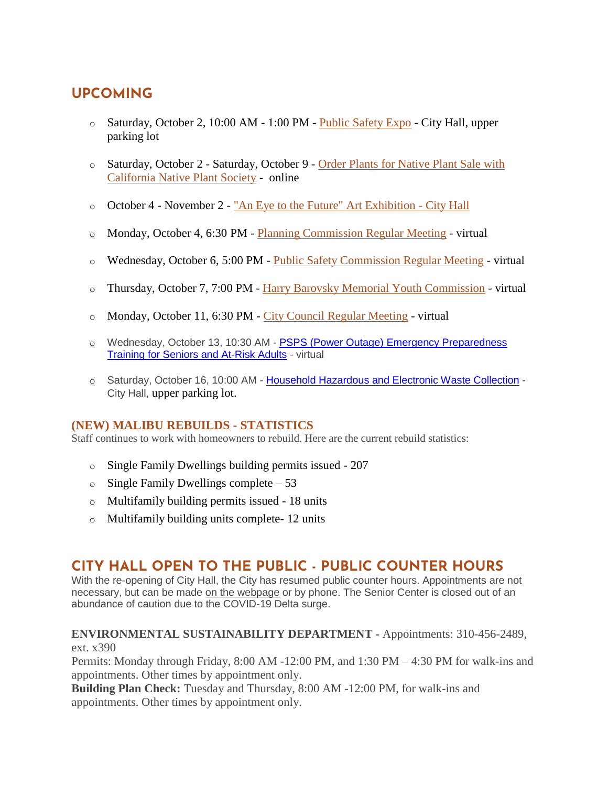## **UPCOMING**

- o Saturday, October 2, 10:00 AM 1:00 PM [Public Safety Expo](https://malibucity.org/Calendar.aspx?EID=6103&month=10&year=2021&day=2&calType=0) City Hall, upper parking lot
- o Saturday, October 2 Saturday, October 9 [Order Plants for Native Plant Sale with](https://www.lvmwd.com/conservation/nativeplantsale)  [California Native Plant Society](https://www.lvmwd.com/conservation/nativeplantsale) - online
- o October 4 November 2 ["An Eye to the Future" Art Exhibition -](https://malibuartsandculture.org/285/An-Eye-To-The-Future-Art-Exhibition) City Hall
- o Monday, October 4, 6:30 PM [Planning Commission Regular Meeting](https://malibucity.org/Calendar.aspx?EID=5496&month=10&year=2021&day=4&calType=0) virtual
- o Wednesday, October 6, 5:00 PM [Public Safety Commission Regular Meeting](https://malibucity.org/Calendar.aspx?EID=5565&month=10&year=2021&day=6&calType=0) virtual
- o Thursday, October 7, 7:00 PM [Harry Barovsky Memorial Youth Commission](https://malibucity.org/Calendar.aspx?EID=5708&month=10&year=2021&day=7&calType=0) virtual
- o Monday, October 11, 6:30 PM [City Council Regular Meeting](https://malibucity.org/Calendar.aspx?EID=5604&month=10&year=2021&day=11&calType=0) virtual
- o Wednesday, October 13, 10:30 AM [PSPS \(Power Outage\) Emergency Preparedness](https://www.eventbrite.com/o/city-of-malibu-16924309641)  **[Training for Seniors and At-Risk Adults](https://www.eventbrite.com/o/city-of-malibu-16924309641) - virtual**
- o Saturday, October 16, 10:00 AM [Household Hazardous and Electronic Waste Collection](https://malibucity.org/Calendar.aspx?EID=5701&month=10&year=2021&day=16&calType=0) City Hall, upper parking lot.

#### **(NEW) MALIBU REBUILDS - STATISTICS**

Staff continues to work with homeowners to rebuild. Here are the current rebuild statistics:

- o Single Family Dwellings building permits issued 207
- $\circ$  Single Family Dwellings complete 53
- o Multifamily building permits issued 18 units
- o Multifamily building units complete- 12 units

## **CITY HALL OPEN TO THE PUBLIC - PUBLIC COUNTER HOURS**

With the re-opening of City Hall, the City has resumed public counter hours. Appointments are not necessary, but can be made [on the webpage](https://www.malibucity.org/appointments) or by phone. The Senior Center is closed out of an abundance of caution due to the COVID-19 Delta surge.

#### **ENVIRONMENTAL SUSTAINABILITY DEPARTMENT -** Appointments: 310-456-2489, ext. x390

Permits: Monday through Friday, 8:00 AM -12:00 PM, and 1:30 PM – 4:30 PM for walk-ins and appointments. Other times by appointment only.

**Building Plan Check:** Tuesday and Thursday, 8:00 AM -12:00 PM, for walk-ins and appointments. Other times by appointment only.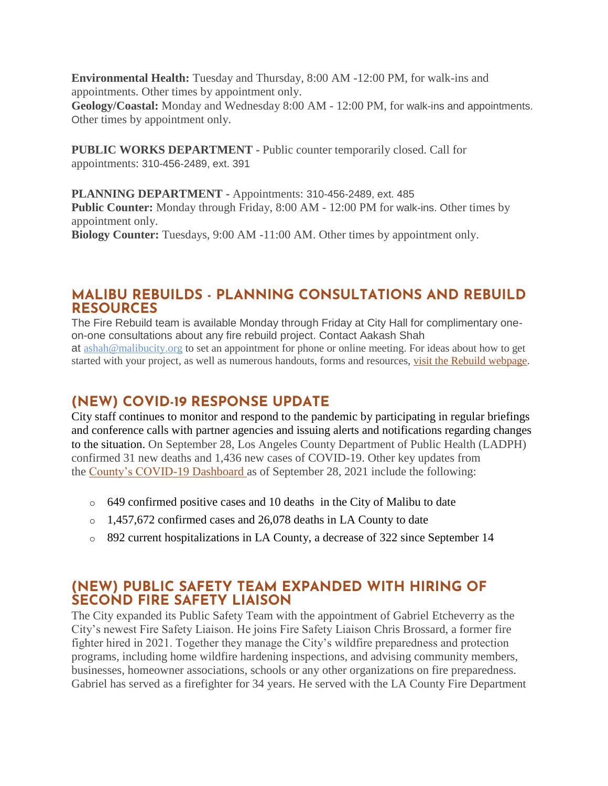**Environmental Health:** Tuesday and Thursday, 8:00 AM -12:00 PM, for walk-ins and appointments. Other times by appointment only.

**Geology/Coastal:** Monday and Wednesday 8:00 AM - 12:00 PM, for walk-ins and appointments. Other times by appointment only.

**PUBLIC WORKS DEPARTMENT -** Public counter temporarily closed. Call for appointments: 310-456-2489, ext. 391

**PLANNING DEPARTMENT -** Appointments: 310-456-2489, ext. 485 **Public Counter:** Monday through Friday, 8:00 AM - 12:00 PM for walk-ins. Other times by appointment only. **Biology Counter:** Tuesdays, 9:00 AM -11:00 AM. Other times by appointment only.

## **MALIBU REBUILDS - PLANNING CONSULTATIONS AND REBUILD RESOURCES**

The Fire Rebuild team is available Monday through Friday at City Hall for complimentary oneon-one consultations about any fire rebuild project. Contact Aakash Shah at [ashah@malibucity.org](mailto:ashah@malibucity.org) to set an appointment for phone or online meeting. For ideas about how to get started with your project, as well as numerous handouts, forms and resources, visit the Rebuild [webpage.](https://www.malibucity.org/901/Malibu-Rebuilds)

## **(NEW) COVID-19 RESPONSE UPDATE**

City staff continues to monitor and respond to the pandemic by participating in regular briefings and conference calls with partner agencies and issuing alerts and notifications regarding changes to the situation. On September 28, Los Angeles County Department of Public Health (LADPH) confirmed 31 new deaths and 1,436 new cases of COVID-19. Other key updates from the [County's COVID-19 Dashboard](http://publichealth.lacounty.gov/media/coronavirus/data/index.htm) as of September 28, 2021 include the following:

- o 649 confirmed positive cases and 10 deaths in the City of Malibu to date
- o 1,457,672 confirmed cases and 26,078 deaths in LA County to date
- o 892 current hospitalizations in LA County, a decrease of 322 since September 14

## **(NEW) PUBLIC SAFETY TEAM EXPANDED WITH HIRING OF SECOND FIRE SAFETY LIAISON**

The City expanded its Public Safety Team with the appointment of Gabriel Etcheverry as the City's newest Fire Safety Liaison. He joins Fire Safety Liaison Chris Brossard, a former fire fighter hired in 2021. Together they manage the City's wildfire preparedness and protection programs, including home wildfire hardening inspections, and advising community members, businesses, homeowner associations, schools or any other organizations on fire preparedness. Gabriel has served as a firefighter for 34 years. He served with the LA County Fire Department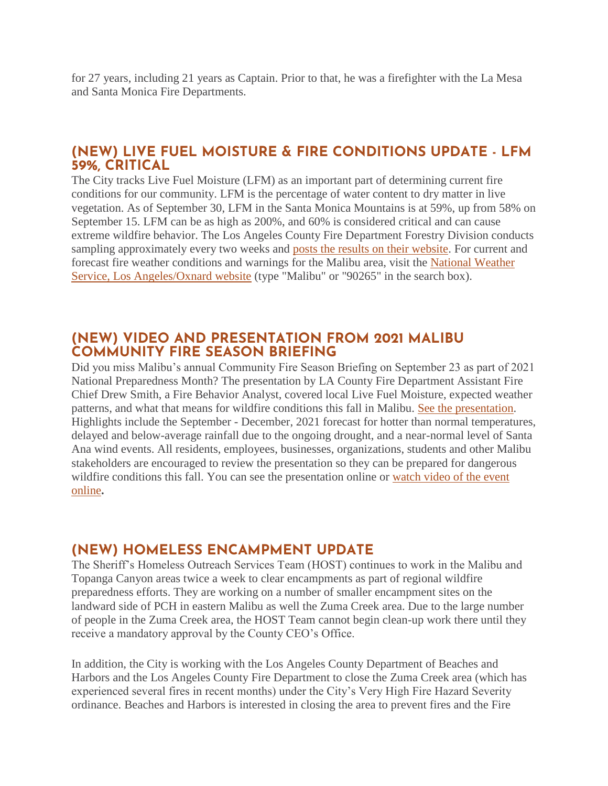for 27 years, including 21 years as Captain. Prior to that, he was a firefighter with the La Mesa and Santa Monica Fire Departments.

## **(NEW) LIVE FUEL MOISTURE & FIRE CONDITIONS UPDATE - LFM 59%, CRITICAL**

The City tracks Live Fuel Moisture (LFM) as an important part of determining current fire conditions for our community. LFM is the percentage of water content to dry matter in live vegetation. As of September 30, LFM in the Santa Monica Mountains is at 59%, up from 58% on September 15. LFM can be as high as 200%, and 60% is considered critical and can cause extreme wildfire behavior. The Los Angeles County Fire Department Forestry Division conducts sampling approximately every two weeks and [posts the results on their website.](https://fire.lacounty.gov/fire-weather-danger) For current and forecast fire weather conditions and warnings for the Malibu area, visit the [National Weather](https://www.weather.gov/lox/)  [Service, Los Angeles/Oxnard website](https://www.weather.gov/lox/) (type "Malibu" or "90265" in the search box).

#### **(NEW) VIDEO AND PRESENTATION FROM 2021 MALIBU COMMUNITY FIRE SEASON BRIEFING**

Did you miss Malibu's annual Community Fire Season Briefing on September 23 as part of 2021 National Preparedness Month? The presentation by LA County Fire Department Assistant Fire Chief Drew Smith, a Fire Behavior Analyst, covered local Live Fuel Moisture, expected weather patterns, and what that means for wildfire conditions this fall in Malibu. [See the presentation.](https://www.malibucity.org/DocumentCenter/View/28679/2021_Community_Wildfire_Briefing_ChiefSmith) Highlights include the September - December, 2021 forecast for hotter than normal temperatures, delayed and below-average rainfall due to the ongoing drought, and a near-normal level of Santa Ana wind events. All residents, employees, businesses, organizations, students and other Malibu stakeholders are encouraged to review the presentation so they can be prepared for dangerous wildfire conditions this fall. You can see the presentation online or [watch video of the event](https://www.youtube.com/watch?v=pVOgituwP0Q)  [online](https://www.youtube.com/watch?v=pVOgituwP0Q)**.**

## **(NEW) HOMELESS ENCAMPMENT UPDATE**

The Sheriff's Homeless Outreach Services Team (HOST) continues to work in the Malibu and Topanga Canyon areas twice a week to clear encampments as part of regional wildfire preparedness efforts. They are working on a number of smaller encampment sites on the landward side of PCH in eastern Malibu as well the Zuma Creek area. Due to the large number of people in the Zuma Creek area, the HOST Team cannot begin clean-up work there until they receive a mandatory approval by the County CEO's Office.

In addition, the City is working with the Los Angeles County Department of Beaches and Harbors and the Los Angeles County Fire Department to close the Zuma Creek area (which has experienced several fires in recent months) under the City's Very High Fire Hazard Severity ordinance. Beaches and Harbors is interested in closing the area to prevent fires and the Fire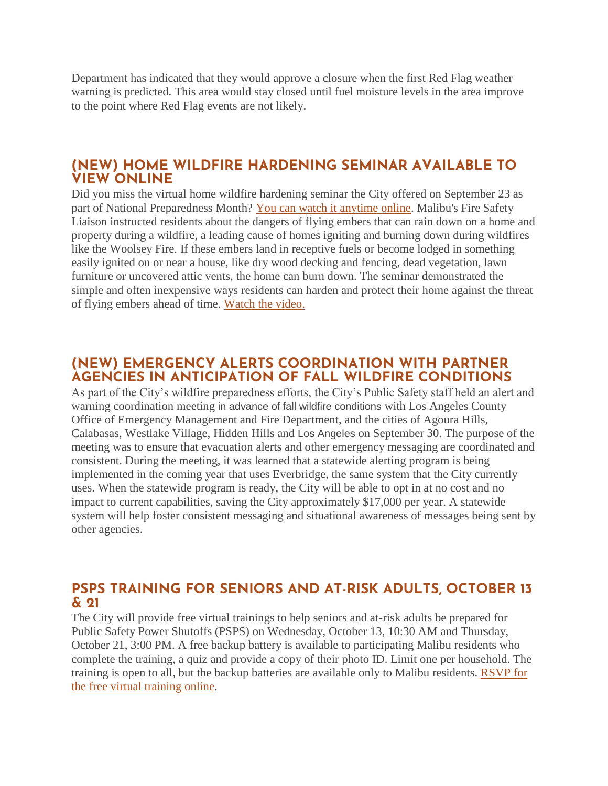Department has indicated that they would approve a closure when the first Red Flag weather warning is predicted. This area would stay closed until fuel moisture levels in the area improve to the point where Red Flag events are not likely.

#### **(NEW) HOME WILDFIRE HARDENING SEMINAR AVAILABLE TO VIEW ONLINE**

Did you miss the virtual home wildfire hardening seminar the City offered on September 23 as part of National Preparedness Month? [You can watch it anytime online.](https://www.youtube.com/watch?v=vft8JoeJckY) Malibu's Fire Safety Liaison instructed residents about the dangers of flying embers that can rain down on a home and property during a wildfire, a leading cause of homes igniting and burning down during wildfires like the Woolsey Fire. If these embers land in receptive fuels or become lodged in something easily ignited on or near a house, like dry wood decking and fencing, dead vegetation, lawn furniture or uncovered attic vents, the home can burn down. The seminar demonstrated the simple and often inexpensive ways residents can harden and protect their home against the threat of flying embers ahead of time. [Watch the video.](https://www.youtube.com/watch?v=vft8JoeJckY)

## **(NEW) EMERGENCY ALERTS COORDINATION WITH PARTNER AGENCIES IN ANTICIPATION OF FALL WILDFIRE CONDITIONS**

As part of the City's wildfire preparedness efforts, the City's Public Safety staff held an alert and warning coordination meeting in advance of fall wildfire conditions with Los Angeles County Office of Emergency Management and Fire Department, and the cities of Agoura Hills, Calabasas, Westlake Village, Hidden Hills and Los Angeles on September 30. The purpose of the meeting was to ensure that evacuation alerts and other emergency messaging are coordinated and consistent. During the meeting, it was learned that a statewide alerting program is being implemented in the coming year that uses Everbridge, the same system that the City currently uses. When the statewide program is ready, the City will be able to opt in at no cost and no impact to current capabilities, saving the City approximately \$17,000 per year. A statewide system will help foster consistent messaging and situational awareness of messages being sent by other agencies.

## **PSPS TRAINING FOR SENIORS AND AT-RISK ADULTS, OCTOBER 13 & 21**

The City will provide free virtual trainings to help seniors and at-risk adults be prepared for Public Safety Power Shutoffs (PSPS) on Wednesday, October 13, 10:30 AM and Thursday, October 21, 3:00 PM. A free backup battery is available to participating Malibu residents who complete the training, a quiz and provide a copy of their photo ID. Limit one per household. The training is open to all, but the backup batteries are available only to Malibu residents. [RSVP for](https://www.eventbrite.com/o/city-of-malibu-16924309641)  [the free virtual training online.](https://www.eventbrite.com/o/city-of-malibu-16924309641)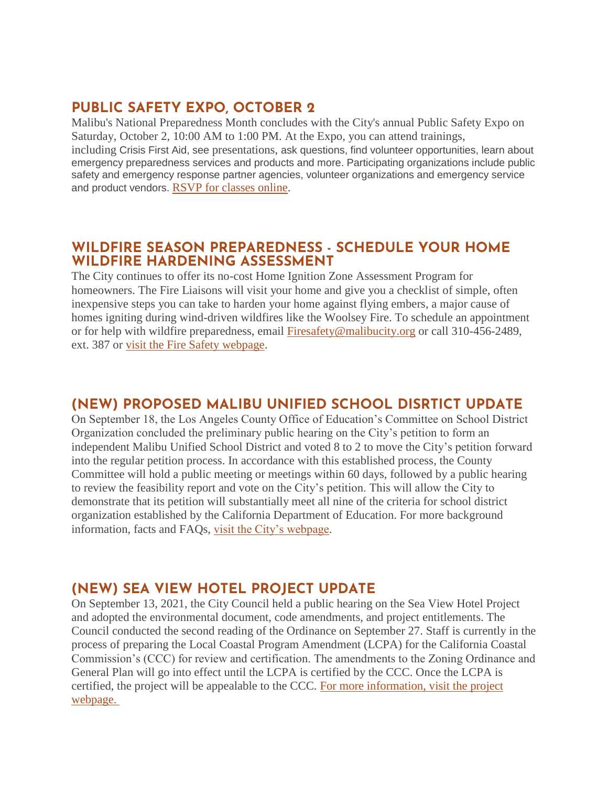## **PUBLIC SAFETY EXPO, OCTOBER 2**

Malibu's National Preparedness Month concludes with the City's annual Public Safety Expo on Saturday, October 2, 10:00 AM to 1:00 PM. At the Expo, you can attend trainings, including Crisis First Aid, see presentations, ask questions, find volunteer opportunities, learn about emergency preparedness services and products and more. Participating organizations include public safety and emergency response partner agencies, volunteer organizations and emergency service and product vendors. [RSVP for classes online.](http://www.malibusafety.eventbrite.com/)

## **WILDFIRE SEASON PREPAREDNESS - SCHEDULE YOUR HOME WILDFIRE HARDENING ASSESSMENT**

The City continues to offer its no-cost Home Ignition Zone Assessment Program for homeowners. The Fire Liaisons will visit your home and give you a checklist of simple, often inexpensive steps you can take to harden your home against flying embers, a major cause of homes igniting during wind-driven wildfires like the Woolsey Fire. To schedule an appointment or for help with wildfire preparedness, email [Firesafety@malibucity.org](mailto:Firesafety@malibucity.org) or call 310-456-2489, ext. 387 or [visit the Fire Safety webpage.](https://www.malibucity.org/952/Fire-Safety)

## **(NEW) PROPOSED MALIBU UNIFIED SCHOOL DISRTICT UPDATE**

On September 18, the Los Angeles County Office of Education's Committee on School District Organization concluded the preliminary public hearing on the City's petition to form an independent Malibu Unified School District and voted 8 to 2 to move the City's petition forward into the regular petition process. In accordance with this established process, the County Committee will hold a public meeting or meetings within 60 days, followed by a public hearing to review the feasibility report and vote on the City's petition. This will allow the City to demonstrate that its petition will substantially meet all nine of the criteria for school district organization established by the California Department of Education. For more background information, facts and FAQs, [visit the City's webpage.](https://www.malibucity.org/MUSD)

## **(NEW) SEA VIEW HOTEL PROJECT UPDATE**

On September 13, 2021, the City Council held a public hearing on the Sea View Hotel Project and adopted the environmental document, code amendments, and project entitlements. The Council conducted the second reading of the Ordinance on September 27. Staff is currently in the process of preparing the Local Coastal Program Amendment (LCPA) for the California Coastal Commission's (CCC) for review and certification. The amendments to the Zoning Ordinance and General Plan will go into effect until the LCPA is certified by the CCC. Once the LCPA is certified, the project will be appealable to the CCC. [For more information, visit the project](https://malibucity.org/seaviewhotel)  [webpage.](https://malibucity.org/seaviewhotel)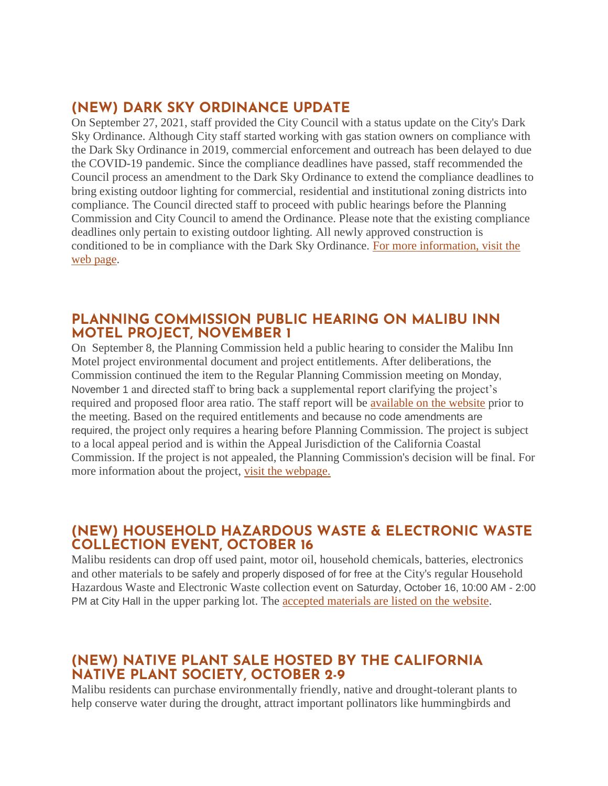## **(NEW) DARK SKY ORDINANCE UPDATE**

On September 27, 2021, staff provided the City Council with a status update on the City's Dark Sky Ordinance. Although City staff started working with gas station owners on compliance with the Dark Sky Ordinance in 2019, commercial enforcement and outreach has been delayed to due the COVID-19 pandemic. Since the compliance deadlines have passed, staff recommended the Council process an amendment to the Dark Sky Ordinance to extend the compliance deadlines to bring existing outdoor lighting for commercial, residential and institutional zoning districts into compliance. The Council directed staff to proceed with public hearings before the Planning Commission and City Council to amend the Ordinance. Please note that the existing compliance deadlines only pertain to existing outdoor lighting. All newly approved construction is conditioned to be in compliance with the Dark Sky Ordinance. [For more information, visit the](https://www.malibucity.org/darksky)  [web page.](https://www.malibucity.org/darksky)

## **PLANNING COMMISSION PUBLIC HEARING ON MALIBU INN MOTEL PROJECT, NOVEMBER 1**

On September 8, the Planning Commission held a public hearing to consider the Malibu Inn Motel project environmental document and project entitlements. After deliberations, the Commission continued the item to the Regular Planning Commission meeting on Monday, November 1 and directed staff to bring back a supplemental report clarifying the project's required and proposed floor area ratio. The staff report will be [available on the website](https://www.malibucity.org/agendacenter) prior to the meeting. Based on the required entitlements and because no code amendments are required, the project only requires a hearing before Planning Commission. The project is subject to a local appeal period and is within the Appeal Jurisdiction of the California Coastal Commission. If the project is not appealed, the Planning Commission's decision will be final. For more information about the project, [visit the webpage.](https://www.malibucity.org/810/Malibu-Inn-Motel)

## **(NEW) HOUSEHOLD HAZARDOUS WASTE & ELECTRONIC WASTE COLLECTION EVENT, OCTOBER 16**

Malibu residents can drop off used paint, motor oil, household chemicals, batteries, electronics and other materials to be safely and properly disposed of for free at the City's regular Household Hazardous Waste and Electronic Waste collection event on Saturday, October 16, 10:00 AM - 2:00 PM at City Hall in the upper parking lot. The [accepted materials are listed on the website.](https://www.malibucity.org/Calendar.aspx?EID=5701)

## **(NEW) NATIVE PLANT SALE HOSTED BY THE CALIFORNIA NATIVE PLANT SOCIETY, OCTOBER 2-9**

Malibu residents can purchase environmentally friendly, native and drought-tolerant plants to help conserve water during the drought, attract important pollinators like hummingbirds and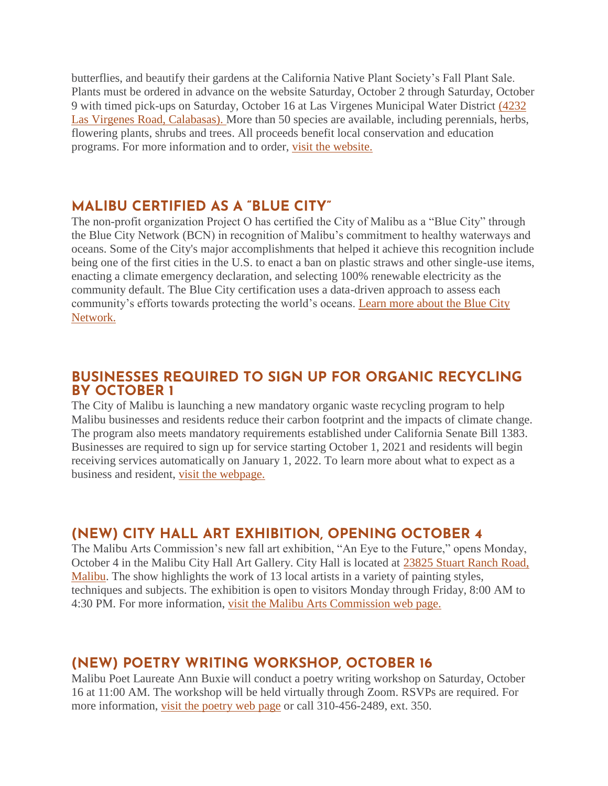butterflies, and beautify their gardens at the California Native Plant Society's Fall Plant Sale. Plants must be ordered in advance on the website Saturday, October 2 through Saturday, October 9 with timed pick-ups on Saturday, October 16 at Las Virgenes Municipal Water District [\(4232](https://goo.gl/maps/FMWq5Gd39Uvp1G6Q9)  [Las Virgenes Road, Calabasas\).](https://goo.gl/maps/FMWq5Gd39Uvp1G6Q9) More than 50 species are available, including perennials, herbs, flowering plants, shrubs and trees. All proceeds benefit local conservation and education programs. For more information and to order, [visit the website.](https://www.lvmwd.com/conservation/nativeplantsale)

#### **MALIBU CERTIFIED AS A "BLUE CITY"**

The non-profit organization Project O has certified the City of Malibu as a "Blue City" through the Blue City Network (BCN) in recognition of Malibu's commitment to healthy waterways and oceans. Some of the City's major accomplishments that helped it achieve this recognition include being one of the first cities in the U.S. to enact a ban on plastic straws and other single-use items, enacting a climate emergency declaration, and selecting 100% renewable electricity as the community default. The Blue City certification uses a data-driven approach to assess each community's efforts towards protecting the world's oceans. [Learn more about the Blue City](https://bluecitynetwork.org/)  [Network.](https://bluecitynetwork.org/) 

#### **BUSINESSES REQUIRED TO SIGN UP FOR ORGANIC RECYCLING BY OCTOBER 1**

The City of Malibu is launching a new mandatory organic waste recycling program to help Malibu businesses and residents reduce their carbon footprint and the impacts of climate change. The program also meets mandatory requirements established under California Senate Bill 1383. Businesses are required to sign up for service starting October 1, 2021 and residents will begin receiving services automatically on January 1, 2022. To learn more about what to expect as a business and resident, [visit the webpage.](http://www.malibucity.org/organics)

## **(NEW) CITY HALL ART EXHIBITION, OPENING OCTOBER 4**

The Malibu Arts Commission's new fall art exhibition, "An Eye to the Future," opens Monday, October 4 in the Malibu City Hall Art Gallery. City Hall is located at [23825 Stuart Ranch Road,](https://goo.gl/maps/J7NMJBZGqMGTVQsD9)  [Malibu.](https://goo.gl/maps/J7NMJBZGqMGTVQsD9) The show highlights the work of 13 local artists in a variety of painting styles, techniques and subjects. The exhibition is open to visitors Monday through Friday, 8:00 AM to 4:30 PM. For more information, [visit the Malibu Arts Commission web page.](https://malibuartsandculture.org/285/An-Eye-To-The-Future-Art-Exhibition)

## **(NEW) POETRY WRITING WORKSHOP, OCTOBER 16**

Malibu Poet Laureate Ann Buxie will conduct a poetry writing workshop on Saturday, October 16 at 11:00 AM. The workshop will be held virtually through Zoom. RSVPs are required. For more information, [visit the poetry web page](https://www.malibucity.org/poetry) or call 310-456-2489, ext. 350.